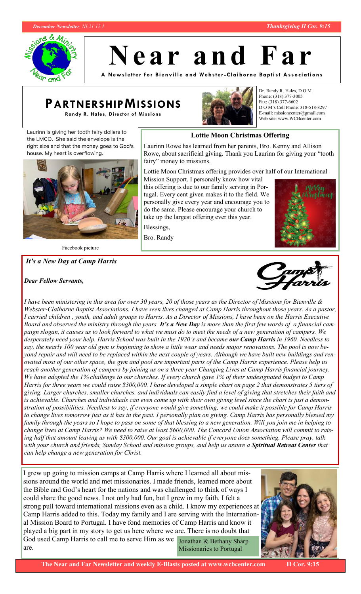



**N e a r a n d F a r**

**A New sl ett er for Bi envill e a nd We bste r -Clai borne Ba pti st Associ ations**

# **PARTNERSHIPMISSIONS**

**Randy R. Hales, Director of Missions**



**Lottie Moon Christmas Offering**

Laurinn Rowe has learned from her parents, Bro. Kenny and Allison

Dr. Randy R. Hales, D O M Phone: (318) 377-3005 Fax: (318) 377-6602 D O M's Cell Phone: 318-518-8297 E-mail: missioncenter@gmail.com Web site: www.WCBcenter.com

Laurinn is giving her tooth fairy dollars to the LMCO. She said the envelope is the right size and that the money goes to God's house. My heart is overflowing.



Facebook picture

### *It's a New Day at Camp Harris*

### *Dear Fellow Servants,*





*I have been ministering in this area for over 30 years, 20 of those years as the Director of Missions for Bienville & Webster-Claiborne Baptist Associations. I have seen lives changed at Camp Harris throughout those years. As a pastor, I carried children , youth, and adult groups to Harris. As a Director of Missions, I have been on the Harris Executive Board and observed the ministry through the years. It's a New Day is more than the first few words of a financial campaign slogan, it causes us to look forward to what we must do to meet the needs of a new generation of campers. We desperately need your help. Harris School was built in the 1920's and became our Camp Harris in 1960. Needless to say, the nearly 100 year old gym is beginning to show a little wear and needs major renovations. The pool is now beyond repair and will need to be replaced within the next couple of years. Although we have built new buildings and renovated most of our other space, the gym and pool are important parts of the Camp Harris experience. Please help us reach another generation of campers by joining us on a three year Changing Lives at Camp Harris financial journey. We have adopted the 1% challenge to our churches. If every church gave 1% of their undesignated budget to Camp Harris for three years we could raise \$300,000. I have developed a simple chart on page 2 that demonstrates 5 tiers of giving. Larger churches, smaller churches, and individuals can easily find a level of giving that stretches their faith and is achievable. Churches and individuals can even come up with their own giving level since the chart is just a demonstration of possibilities. Needless to say, if everyone would give something, we could make it possible for Camp Harris to change lives tomorrow just as it has in the past. I personally plan on giving. Camp Harris has personally blessed my family through the years so I hope to pass on some of that blessing to a new generation. Will you join me in helping to change lives at Camp Harris? We need to raise at least \$600,000. The Concord Union Association will commit to raising half that amount leaving us with \$300,000. Our goal is achievable if everyone does something. Please pray, talk with your church and friends, Sunday School and mission groups, and help us assure a Spiritual Retreat Center that can help change a new generation for Christ.*

I grew up going to mission camps at Camp Harris where I learned all about missions around the world and met missionaries. I made friends, learned more about the Bible and God's heart for the nations and was challenged to think of ways I could share the good news. I not only had fun, but I grew in my faith. I felt a strong pull toward international missions even as a child. I know my experiences at Camp Harris added to this. Today my family and I are serving with the International Mission Board to Portugal. I have fond memories of Camp Harris and know it played a big part in my story to get us here where we are. There is no doubt that God used Camp Harris to call me to serve Him as we Jonathan & Bethany Sharp are. Missionaries to Portugal